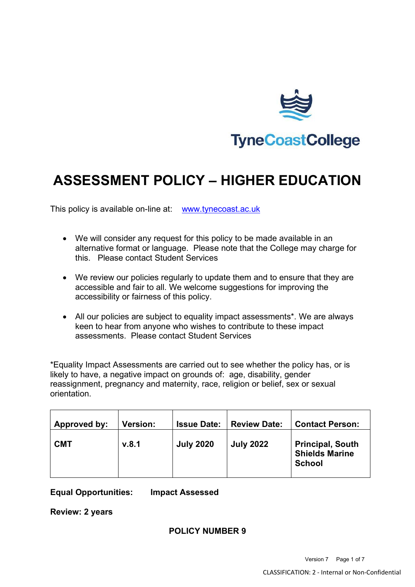

# **ASSESSMENT POLICY – HIGHER EDUCATION**

This policy is available on-line at: [www.tynecoast.ac.uk](http://www.tynecoast.ac.uk/)

- We will consider any request for this policy to be made available in an alternative format or language. Please note that the College may charge for this. Please contact Student Services
- We review our policies regularly to update them and to ensure that they are accessible and fair to all. We welcome suggestions for improving the accessibility or fairness of this policy.
- All our policies are subject to equality impact assessments\*. We are always keen to hear from anyone who wishes to contribute to these impact assessments. Please contact Student Services

\*Equality Impact Assessments are carried out to see whether the policy has, or is likely to have, a negative impact on grounds of: age, disability, gender reassignment, pregnancy and maternity, race, religion or belief, sex or sexual orientation.

| Approved by: | <b>Version:</b> | <b>Issue Date:</b> | <b>Review Date:</b> | <b>Contact Person:</b>                                            |
|--------------|-----------------|--------------------|---------------------|-------------------------------------------------------------------|
| <b>CMT</b>   | v.8.1           | <b>July 2020</b>   | <b>July 2022</b>    | <b>Principal, South</b><br><b>Shields Marine</b><br><b>School</b> |

**Equal Opportunities: Impact Assessed**

**Review: 2 years**

# **POLICY NUMBER 9**

Version 7 Page 1 of 7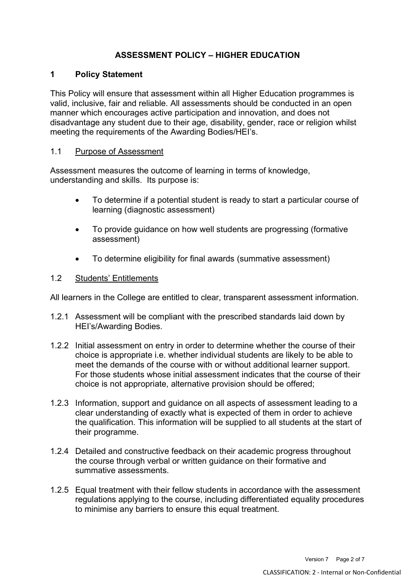# **ASSESSMENT POLICY – HIGHER EDUCATION**

# **1 Policy Statement**

This Policy will ensure that assessment within all Higher Education programmes is valid, inclusive, fair and reliable. All assessments should be conducted in an open manner which encourages active participation and innovation, and does not disadvantage any student due to their age, disability, gender, race or religion whilst meeting the requirements of the Awarding Bodies/HEI's.

# 1.1 Purpose of Assessment

Assessment measures the outcome of learning in terms of knowledge, understanding and skills. Its purpose is:

- To determine if a potential student is ready to start a particular course of learning (diagnostic assessment)
- To provide guidance on how well students are progressing (formative assessment)
- To determine eligibility for final awards (summative assessment)

# 1.2 Students' Entitlements

All learners in the College are entitled to clear, transparent assessment information.

- 1.2.1 Assessment will be compliant with the prescribed standards laid down by HEI's/Awarding Bodies.
- 1.2.2 Initial assessment on entry in order to determine whether the course of their choice is appropriate i.e. whether individual students are likely to be able to meet the demands of the course with or without additional learner support. For those students whose initial assessment indicates that the course of their choice is not appropriate, alternative provision should be offered;
- 1.2.3 Information, support and guidance on all aspects of assessment leading to a clear understanding of exactly what is expected of them in order to achieve the qualification. This information will be supplied to all students at the start of their programme.
- 1.2.4 Detailed and constructive feedback on their academic progress throughout the course through verbal or written guidance on their formative and summative assessments.
- 1.2.5 Equal treatment with their fellow students in accordance with the assessment regulations applying to the course, including differentiated equality procedures to minimise any barriers to ensure this equal treatment.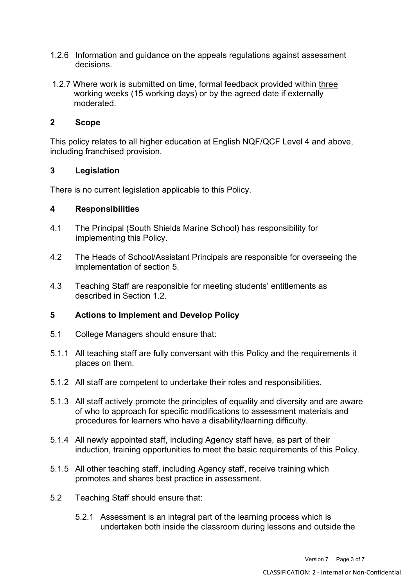- 1.2.6 Information and guidance on the appeals regulations against assessment decisions.
- 1.2.7 Where work is submitted on time, formal feedback provided within three working weeks (15 working days) or by the agreed date if externally moderated.

### **2 Scope**

This policy relates to all higher education at English NQF/QCF Level 4 and above, including franchised provision.

#### **3 Legislation**

There is no current legislation applicable to this Policy.

#### **4 Responsibilities**

- 4.1 The Principal (South Shields Marine School) has responsibility for implementing this Policy.
- 4.2 The Heads of School/Assistant Principals are responsible for overseeing the implementation of section 5.
- 4.3 Teaching Staff are responsible for meeting students' entitlements as described in Section 1.2.

# **5 Actions to Implement and Develop Policy**

- 5.1 College Managers should ensure that:
- 5.1.1 All teaching staff are fully conversant with this Policy and the requirements it places on them.
- 5.1.2 All staff are competent to undertake their roles and responsibilities.
- 5.1.3 All staff actively promote the principles of equality and diversity and are aware of who to approach for specific modifications to assessment materials and procedures for learners who have a disability/learning difficulty.
- 5.1.4 All newly appointed staff, including Agency staff have, as part of their induction, training opportunities to meet the basic requirements of this Policy.
- 5.1.5 All other teaching staff, including Agency staff, receive training which promotes and shares best practice in assessment.
- 5.2 Teaching Staff should ensure that:
	- 5.2.1 Assessment is an integral part of the learning process which is undertaken both inside the classroom during lessons and outside the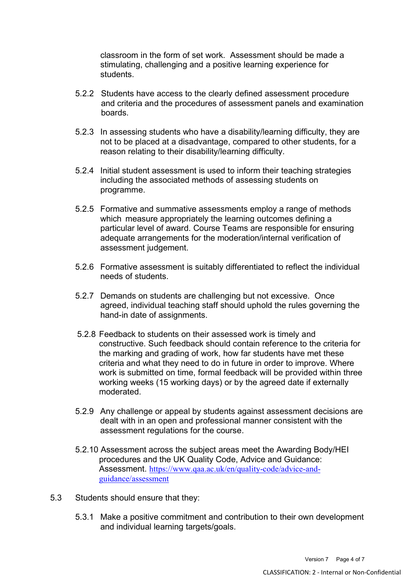classroom in the form of set work. Assessment should be made a stimulating, challenging and a positive learning experience for students.

- 5.2.2 Students have access to the clearly defined assessment procedure and criteria and the procedures of assessment panels and examination boards.
- 5.2.3 In assessing students who have a disability/learning difficulty, they are not to be placed at a disadvantage, compared to other students, for a reason relating to their disability/learning difficulty.
- 5.2.4 Initial student assessment is used to inform their teaching strategies including the associated methods of assessing students on programme.
- 5.2.5 Formative and summative assessments employ a range of methods which measure appropriately the learning outcomes defining a particular level of award. Course Teams are responsible for ensuring adequate arrangements for the moderation/internal verification of assessment judgement.
- 5.2.6 Formative assessment is suitably differentiated to reflect the individual needs of students.
- 5.2.7 Demands on students are challenging but not excessive. Once agreed, individual teaching staff should uphold the rules governing the hand-in date of assignments.
- 5.2.8 Feedback to students on their assessed work is timely and constructive. Such feedback should contain reference to the criteria for the marking and grading of work, how far students have met these criteria and what they need to do in future in order to improve. Where work is submitted on time, formal feedback will be provided within three working weeks (15 working days) or by the agreed date if externally moderated.
- 5.2.9 Any challenge or appeal by students against assessment decisions are dealt with in an open and professional manner consistent with the assessment regulations for the course.
- 5.2.10 Assessment across the subject areas meet the Awarding Body/HEI procedures and the UK Quality Code, Advice and Guidance: Assessment. [https://www.qaa.ac.uk/en/quality-code/advice-and](https://www.qaa.ac.uk/en/quality-code/advice-and-guidance/assessment)[guidance/assessment](https://www.qaa.ac.uk/en/quality-code/advice-and-guidance/assessment)
- 5.3 Students should ensure that they:
	- 5.3.1 Make a positive commitment and contribution to their own development and individual learning targets/goals.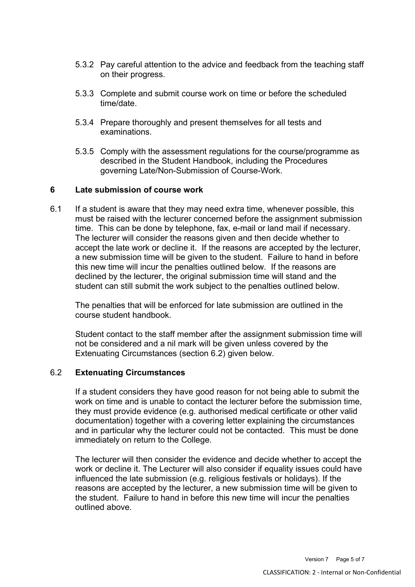- 5.3.2 Pay careful attention to the advice and feedback from the teaching staff on their progress.
- 5.3.3 Complete and submit course work on time or before the scheduled time/date.
- 5.3.4 Prepare thoroughly and present themselves for all tests and examinations.
- 5.3.5 Comply with the assessment regulations for the course/programme as described in the Student Handbook, including the Procedures governing Late/Non-Submission of Course-Work.

#### **6 Late submission of course work**

6.1 If a student is aware that they may need extra time, whenever possible, this must be raised with the lecturer concerned before the assignment submission time. This can be done by telephone, fax, e-mail or land mail if necessary. The lecturer will consider the reasons given and then decide whether to accept the late work or decline it. If the reasons are accepted by the lecturer, a new submission time will be given to the student. Failure to hand in before this new time will incur the penalties outlined below. If the reasons are declined by the lecturer, the original submission time will stand and the student can still submit the work subject to the penalties outlined below.

The penalties that will be enforced for late submission are outlined in the course student handbook.

Student contact to the staff member after the assignment submission time will not be considered and a nil mark will be given unless covered by the Extenuating Circumstances (section 6.2) given below.

#### 6.2 **Extenuating Circumstances**

If a student considers they have good reason for not being able to submit the work on time and is unable to contact the lecturer before the submission time, they must provide evidence (e.g. authorised medical certificate or other valid documentation) together with a covering letter explaining the circumstances and in particular why the lecturer could not be contacted. This must be done immediately on return to the College.

The lecturer will then consider the evidence and decide whether to accept the work or decline it. The Lecturer will also consider if equality issues could have influenced the late submission (e.g. religious festivals or holidays). If the reasons are accepted by the lecturer, a new submission time will be given to the student. Failure to hand in before this new time will incur the penalties outlined above.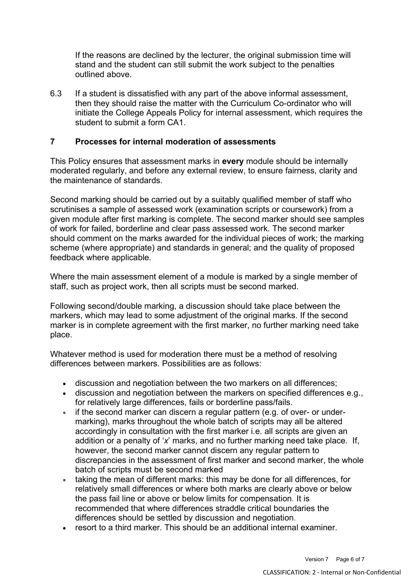If the reasons are declined by the lecturer, the original submission time will stand and the student can still submit the work subject to the penalties outlined above.

6.3 If a student is dissatisfied with any part of the above informal assessment, then they should raise the matter with the Curriculum Co-ordinator who will initiate the College Appeals Policy for internal assessment, which requires the student to submit a form CA1.

# **7 Processes for internal moderation of assessments**

This Policy ensures that assessment marks in **every** module should be internally moderated regularly, and before any external review, to ensure fairness, clarity and the maintenance of standards.

Second marking should be carried out by a suitably qualified member of staff who scrutinises a sample of assessed work (examination scripts or coursework) from a given module after first marking is complete. The second marker should see samples of work for failed, borderline and clear pass assessed work. The second marker should comment on the marks awarded for the individual pieces of work; the marking scheme (where appropriate) and standards in general; and the quality of proposed feedback where applicable.

Where the main assessment element of a module is marked by a single member of staff, such as project work, then all scripts must be second marked.

Following second/double marking, a discussion should take place between the markers, which may lead to some adjustment of the original marks. If the second marker is in complete agreement with the first marker, no further marking need take place.

Whatever method is used for moderation there must be a method of resolving differences between markers. Possibilities are as follows:

- discussion and negotiation between the two markers on all differences;
- discussion and negotiation between the markers on specified differences e.g., for relatively large differences, fails or borderline pass/fails.
- if the second marker can discern a regular pattern (e.g. of over- or undermarking), marks throughout the whole batch of scripts may all be altered accordingly in consultation with the first marker i.e. all scripts are given an addition or a penalty of '*x*' marks, and no further marking need take place. If, however, the second marker cannot discern any regular pattern to discrepancies in the assessment of first marker and second marker, the whole batch of scripts must be second marked
- taking the mean of different marks: this may be done for all differences, for relatively small differences or where both marks are clearly above or below the pass fail line or above or below limits for compensation. It is recommended that where differences straddle critical boundaries the differences should be settled by discussion and negotiation.
- resort to a third marker. This should be an additional internal examiner.